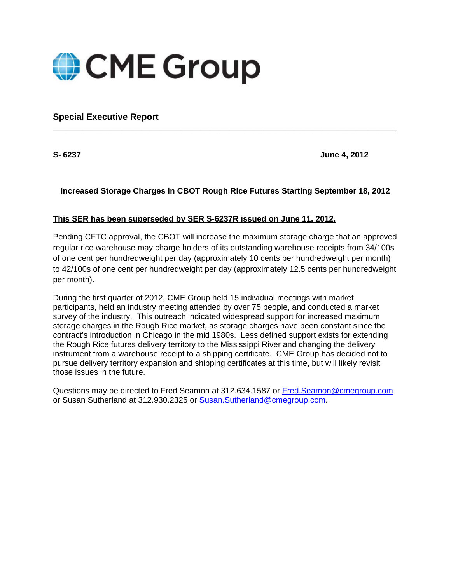

**Special Executive Report** 

**S- 6237 June 4, 2012** 

## **Increased Storage Charges in CBOT Rough Rice Futures Starting September 18, 2012**

**\_\_\_\_\_\_\_\_\_\_\_\_\_\_\_\_\_\_\_\_\_\_\_\_\_\_\_\_\_\_\_\_\_\_\_\_\_\_\_\_\_\_\_\_\_\_\_\_\_\_\_\_\_\_\_\_\_\_\_\_\_\_\_\_\_\_\_\_\_\_** 

## **This SER has been superseded by SER S-6237R issued on June 11, 2012.**

Pending CFTC approval, the CBOT will increase the maximum storage charge that an approved regular rice warehouse may charge holders of its outstanding warehouse receipts from 34/100s of one cent per hundredweight per day (approximately 10 cents per hundredweight per month) to 42/100s of one cent per hundredweight per day (approximately 12.5 cents per hundredweight per month).

During the first quarter of 2012, CME Group held 15 individual meetings with market participants, held an industry meeting attended by over 75 people, and conducted a market survey of the industry. This outreach indicated widespread support for increased maximum storage charges in the Rough Rice market, as storage charges have been constant since the contract's introduction in Chicago in the mid 1980s. Less defined support exists for extending the Rough Rice futures delivery territory to the Mississippi River and changing the delivery instrument from a warehouse receipt to a shipping certificate. CME Group has decided not to pursue delivery territory expansion and shipping certificates at this time, but will likely revisit those issues in the future.

Questions may be directed to Fred Seamon at 312.634.1587 or Fred.Seamon@cmegroup.com or Susan Sutherland at 312.930.2325 or Susan.Sutherland@cmegroup.com.